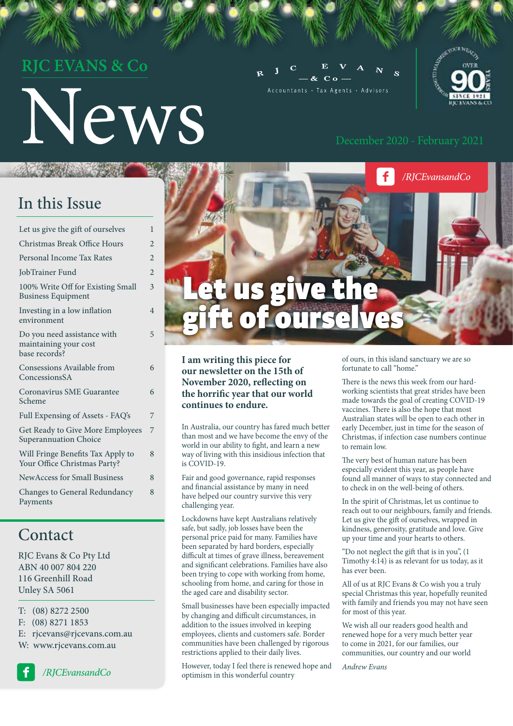# **CEVANS & Co**

# News

 $C<sub>0</sub>$ Accountants · Tax Agents · Advisors





#### **I am writing this piece for our newsletter on the 15th of November 2020, reflecting on the horrific year that our world continues to endure.**

In Australia, our country has fared much better than most and we have become the envy of the world in our ability to fight, and learn a new way of living with this insidious infection that is COVID-19.

Fair and good governance, rapid responses and financial assistance by many in need have helped our country survive this very challenging year.

Lockdowns have kept Australians relatively safe, but sadly, job losses have been the personal price paid for many. Families have been separated by hard borders, especially difficult at times of grave illness, bereavement and significant celebrations. Families have also been trying to cope with working from home, schooling from home, and caring for those in the aged care and disability sector.

Small businesses have been especially impacted by changing and difficult circumstances, in addition to the issues involved in keeping employees, clients and customers safe. Border communities have been challenged by rigorous restrictions applied to their daily lives.

However, today I feel there is renewed hope and optimism in this wonderful country

of ours, in this island sanctuary we are so fortunate to call "home."

There is the news this week from our hardworking scientists that great strides have been made towards the goal of creating COVID-19 vaccines. There is also the hope that most Australian states will be open to each other in early December, just in time for the season of Christmas, if infection case numbers continue to remain low.

The very best of human nature has been especially evident this year, as people have found all manner of ways to stay connected and to check in on the well-being of others.

In the spirit of Christmas, let us continue to reach out to our neighbours, family and friends. Let us give the gift of ourselves, wrapped in kindness, generosity, gratitude and love. Give up your time and your hearts to others.

"Do not neglect the gift that is in you", (1 Timothy 4:14) is as relevant for us today, as it has ever been.

All of us at RJC Evans & Co wish you a truly special Christmas this year, hopefully reunited with family and friends you may not have seen for most of this year.

We wish all our readers good health and renewed hope for a very much better year to come in 2021, for our families, our communities, our country and our world

*Andrew Evans*

### In this Issue

| Let us give the gift of ourselves                                     | 1                       |
|-----------------------------------------------------------------------|-------------------------|
| Christmas Break Office Hours                                          | $\overline{2}$          |
| Personal Income Tax Rates                                             | $\overline{2}$          |
| JobTrainer Fund                                                       | $\overline{2}$          |
| 100% Write Off for Existing Small<br><b>Business Equipment</b>        | $\overline{\mathbf{3}}$ |
| Investing in a low inflation<br>environment                           | $\overline{4}$          |
| Do you need assistance with<br>maintaining your cost<br>base records? | 5                       |
| Consessions Available from<br>ConcessionsSA                           | 6                       |
| Coronavirus SME Guarantee<br>Scheme                                   | 6                       |
| Full Expensing of Assets - FAQ's                                      | 7                       |
| Get Ready to Give More Employees<br><b>Superannuation Choice</b>      | 7                       |
| Will Fringe Benefits Tax Apply to<br>Your Office Christmas Party?     | 8                       |
| <b>NewAccess for Small Business</b>                                   | 8                       |
| <b>Changes to General Redundancy</b><br>Payments                      | 8                       |
|                                                                       |                         |

### Contact

RJC Evans & Co Pty Ltd ABN 40 007 804 220 116 Greenhill Road Unley SA 5061

T: (08) 8272 2500 F: (08) 8271 1853 E: rjcevans@rjcevans.com.au W: www.rjcevans.com.au

*/RJCEvansandCo*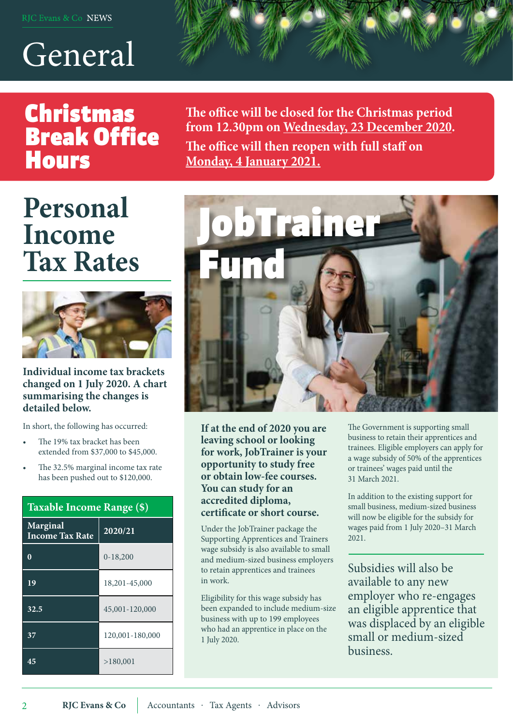# General

# Christmas Break Office **Hours**

**The office will be closed for the Christmas period from 12.30pm on Wednesday, 23 December 2020.** 

**The office will then reopen with full staff on Monday, 4 January 2021.**

# **Personal Income Tax Rates**



**Individual income tax brackets changed on 1 July 2020. A chart summarising the changes is detailed below.** 

In short, the following has occurred:

- The 19% tax bracket has been extended from \$37,000 to \$45,000.
- The 32.5% marginal income tax rate has been pushed out to \$120,000.

| Taxable Income Range (\$)          |                 |  |  |
|------------------------------------|-----------------|--|--|
| Marginal<br><b>Income Tax Rate</b> | 2020/21         |  |  |
|                                    | $0-18,200$      |  |  |
| 19                                 | 18,201-45,000   |  |  |
| 32.5                               | 45,001-120,000  |  |  |
| 37                                 | 120,001-180,000 |  |  |
| 45                                 | >180,001        |  |  |



**If at the end of 2020 you are leaving school or looking for work, JobTrainer is your opportunity to study free or obtain low-fee courses. You can study for an accredited diploma, certificate or short course.**

Under the JobTrainer package the Supporting Apprentices and Trainers wage subsidy is also available to small and medium-sized business employers to retain apprentices and trainees in work.

Eligibility for this wage subsidy has been expanded to include medium-size business with up to 199 employees who had an apprentice in place on the 1 July 2020.

The Government is supporting small business to retain their apprentices and trainees. Eligible employers can apply for a wage subsidy of 50% of the apprentices or trainees' wages paid until the 31 March 2021.

In addition to the existing support for small business, medium-sized business will now be eligible for the subsidy for wages paid from 1 July 2020–31 March 2021.

Subsidies will also be available to any new employer who re-engages an eligible apprentice that was displaced by an eligible small or medium-sized business.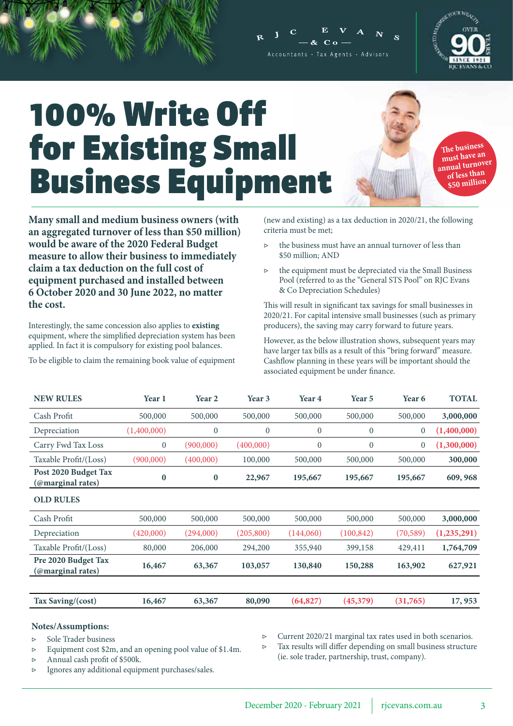

**Many small and medium business owners (with an aggregated turnover of less than \$50 million) would be aware of the 2020 Federal Budget measure to allow their business to immediately claim a tax deduction on the full cost of equipment purchased and installed between 6 October 2020 and 30 June 2022, no matter the cost.**

Interestingly, the same concession also applies to **existing**  equipment, where the simplified depreciation system has been applied. In fact it is compulsory for existing pool balances.

To be eligible to claim the remaining book value of equipment

(new and existing) as a tax deduction in 2020/21, the following criteria must be met;

- ▷ the business must have an annual turnover of less than \$50 million; AND
- ▷ the equipment must be depreciated via the Small Business Pool (referred to as the "General STS Pool" on RJC Evans & Co Depreciation Schedules)

This will result in significant tax savings for small businesses in 2020/21. For capital intensive small businesses (such as primary producers), the saving may carry forward to future years.

However, as the below illustration shows, subsequent years may have larger tax bills as a result of this "bring forward" measure. Cashflow planning in these years will be important should the associated equipment be under finance.

| <b>NEW RULES</b>                          | Year 1       | Year 2         | Year 3         | Year 4           | Year <sub>5</sub> | Year 6         | <b>TOTAL</b>  |
|-------------------------------------------|--------------|----------------|----------------|------------------|-------------------|----------------|---------------|
| Cash Profit                               | 500,000      | 500,000        | 500,000        | 500,000          | 500,000           | 500,000        | 3,000,000     |
| Depreciation                              | (1,400,000)  | $\overline{0}$ | $\overline{0}$ | $\boldsymbol{0}$ | $\overline{0}$    | $\mathbf{0}$   | (1,400,000)   |
| Carry Fwd Tax Loss                        | $\mathbf{0}$ | (900,000)      | (400,000)      | $\boldsymbol{0}$ | $\theta$          | $\overline{0}$ | (1,300,000)   |
| Taxable Profit/(Loss)                     | (900,000)    | (400,000)      | 100,000        | 500,000          | 500,000           | 500,000        | 300,000       |
| Post 2020 Budget Tax<br>(@marginal rates) | $\bf{0}$     | $\bf{0}$       | 22,967         | 195,667          | 195,667           | 195,667        | 609, 968      |
| <b>OLD RULES</b>                          |              |                |                |                  |                   |                |               |
| Cash Profit                               | 500,000      | 500,000        | 500,000        | 500,000          | 500,000           | 500,000        | 3,000,000     |
| Depreciation                              | (420,000)    | (294,000)      | (205, 800)     | (144,060)        | (100, 842)        | (70, 589)      | (1, 235, 291) |
| Taxable Profit/(Loss)                     | 80,000       | 206,000        | 294,200        | 355,940          | 399,158           | 429,411        | 1,764,709     |
| Pre 2020 Budget Tax<br>(@marginal rates)  | 16,467       | 63,367         | 103,057        | 130,840          | 150,288           | 163,902        | 627,921       |
|                                           |              |                |                |                  |                   |                |               |
| Tax Saving/(cost)                         | 16,467       | 63,367         | 80,090         | (64, 827)        | (45,379)          | (31,765)       | 17,953        |

#### **Notes/Assumptions:**

▷ Sole Trader business

▷ Equipment cost \$2m, and an opening pool value of \$1.4m.

▷ Annual cash profit of \$500k.

- ▷ Ignores any additional equipment purchases/sales.
- Current 2020/21 marginal tax rates used in both scenarios.

Tax results will differ depending on small business structure (ie. sole trader, partnership, trust, company).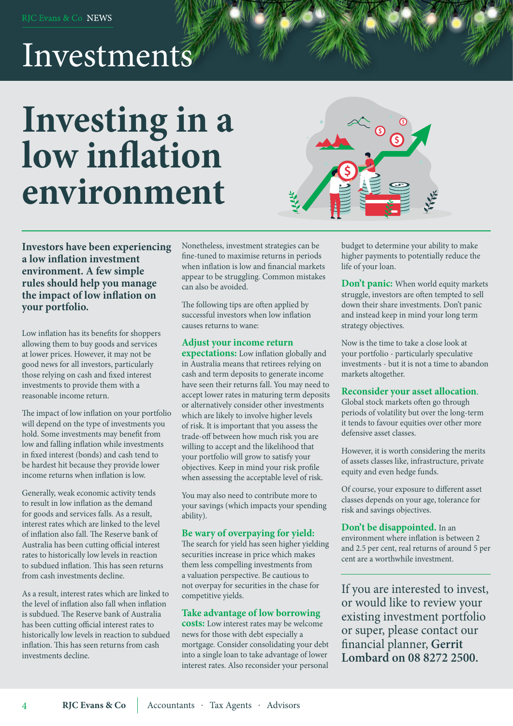# Investments

# **Investing in a low inflation environment**



**Investors have been experiencing a low inflation investment environment. A few simple rules should help you manage the impact of low inflation on your portfolio.**

Low inflation has its benefits for shoppers allowing them to buy goods and services at lower prices. However, it may not be good news for all investors, particularly those relying on cash and fixed interest investments to provide them with a reasonable income return.

The impact of low inflation on your portfolio will depend on the type of investments you hold. Some investments may benefit from low and falling inflation while investments in fixed interest (bonds) and cash tend to be hardest hit because they provide lower income returns when inflation is low.

Generally, weak economic activity tends to result in low inflation as the demand for goods and services falls. As a result, interest rates which are linked to the level of inflation also fall. The Reserve bank of Australia has been cutting official interest rates to historically low levels in reaction to subdued inflation. This has seen returns from cash investments decline.

As a result, interest rates which are linked to the level of inflation also fall when inflation is subdued. The Reserve bank of Australia has been cutting official interest rates to historically low levels in reaction to subdued inflation. This has seen returns from cash investments decline.

Nonetheless, investment strategies can be fine-tuned to maximise returns in periods when inflation is low and financial markets appear to be struggling. Common mistakes can also be avoided.

The following tips are often applied by successful investors when low inflation causes returns to wane:

#### **Adjust your income return**

**expectations:** Low inflation globally and in Australia means that retirees relying on cash and term deposits to generate income have seen their returns fall. You may need to accept lower rates in maturing term deposits or alternatively consider other investments which are likely to involve higher levels of risk. It is important that you assess the trade-off between how much risk you are willing to accept and the likelihood that your portfolio will grow to satisfy your objectives. Keep in mind your risk profile when assessing the acceptable level of risk.

You may also need to contribute more to your savings (which impacts your spending ability).

#### **Be wary of overpaying for yield:**

The search for yield has seen higher yielding securities increase in price which makes them less compelling investments from a valuation perspective. Be cautious to not overpay for securities in the chase for competitive yields.

#### **Take advantage of low borrowing**

**costs:** Low interest rates may be welcome news for those with debt especially a mortgage. Consider consolidating your debt into a single loan to take advantage of lower interest rates. Also reconsider your personal

budget to determine your ability to make higher payments to potentially reduce the life of your loan.

**Don't panic:** When world equity markets struggle, investors are often tempted to sell down their share investments. Don't panic and instead keep in mind your long term strategy objectives.

Now is the time to take a close look at your portfolio - particularly speculative investments - but it is not a time to abandon markets altogether.

#### **Reconsider your asset allocation**.

Global stock markets often go through periods of volatility but over the long-term it tends to favour equities over other more defensive asset classes.

However, it is worth considering the merits of assets classes like, infrastructure, private equity and even hedge funds.

Of course, your exposure to different asset classes depends on your age, tolerance for risk and savings objectives.

**Don't be disappointed.** In an environment where inflation is between 2 and 2.5 per cent, real returns of around 5 per cent are a worthwhile investment.

If you are interested to invest, or would like to review your existing investment portfolio or super, please contact our financial planner, **Gerrit Lombard on 08 8272 2500.**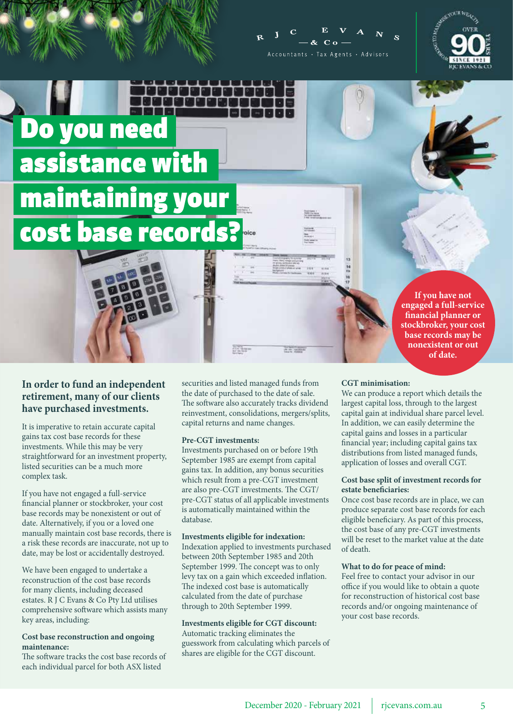



Do you need assistance with maintaining your cost base records?

> **If you have not engaged a full-service financial planner or stockbroker, your cost base records may be nonexistent or out of date.**

#### **In order to fund an independent retirement, many of our clients have purchased investments.**

It is imperative to retain accurate capital gains tax cost base records for these investments. While this may be very straightforward for an investment property, listed securities can be a much more complex task.

If you have not engaged a full-service financial planner or stockbroker, your cost base records may be nonexistent or out of date. Alternatively, if you or a loved one manually maintain cost base records, there is a risk these records are inaccurate, not up to date, may be lost or accidentally destroyed.

We have been engaged to undertake a reconstruction of the cost base records for many clients, including deceased estates. R J C Evans & Co Pty Ltd utilises comprehensive software which assists many key areas, including:

#### **Cost base reconstruction and ongoing maintenance:**

The software tracks the cost base records of each individual parcel for both ASX listed

securities and listed managed funds from the date of purchased to the date of sale. The software also accurately tracks dividend reinvestment, consolidations, mergers/splits, capital returns and name changes.

#### **Pre-CGT investments:**

Investments purchased on or before 19th September 1985 are exempt from capital gains tax. In addition, any bonus securities which result from a pre-CGT investment are also pre-CGT investments. The CGT/ pre-CGT status of all applicable investments is automatically maintained within the database.

#### **Investments eligible for indexation:**

Indexation applied to investments purchased between 20th September 1985 and 20th September 1999. The concept was to only levy tax on a gain which exceeded inflation. The indexed cost base is automatically calculated from the date of purchase through to 20th September 1999.

**Investments eligible for CGT discount:** Automatic tracking eliminates the guesswork from calculating which parcels of shares are eligible for the CGT discount.

#### **CGT minimisation:**

We can produce a report which details the largest capital loss, through to the largest capital gain at individual share parcel level. In addition, we can easily determine the capital gains and losses in a particular financial year; including capital gains tax distributions from listed managed funds, application of losses and overall CGT.

#### **Cost base split of investment records for estate beneficiaries:**

Once cost base records are in place, we can produce separate cost base records for each eligible beneficiary. As part of this process, the cost base of any pre-CGT investments will be reset to the market value at the date of death.

#### **What to do for peace of mind:**

Feel free to contact your advisor in our office if you would like to obtain a quote for reconstruction of historical cost base records and/or ongoing maintenance of your cost base records.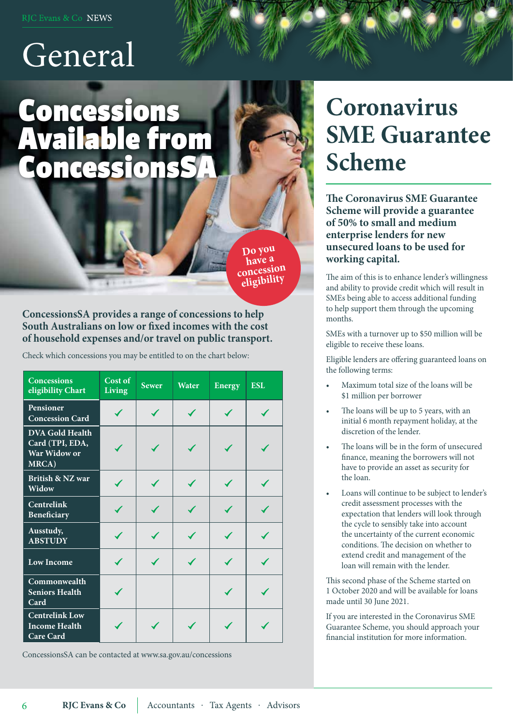# General

# Concessions Available from Concessions

**Do you concession eligibility**

**ConcessionsSA provides a range of concessions to help South Australians on low or fixed incomes with the cost of household expenses and/or travel on public transport.** 

Check which concessions you may be entitled to on the chart below:

| <b>Concessions</b><br>eligibility Chart                            | Cost of<br><b>Living</b> | <b>Sewer</b> | Water | <b>Energy</b> | <b>ESL</b> |
|--------------------------------------------------------------------|--------------------------|--------------|-------|---------------|------------|
| Pensioner<br><b>Concession Card</b>                                |                          |              |       |               |            |
| <b>DVA Gold Health</b><br>Card (TPI, EDA,<br>War Widow or<br>MRCA) |                          |              |       |               |            |
| British & NZ war<br>Widow                                          |                          |              |       |               |            |
| <b>Centrelink</b><br>Beneficiary                                   |                          |              |       |               |            |
| Ausstudy,<br><b>ABSTUDY</b>                                        |                          |              |       |               |            |
| <b>Low Income</b>                                                  |                          |              |       |               |            |
| Commonwealth<br><b>Seniors Health</b><br>Card                      |                          |              |       |               |            |
| <b>Centrelink Low</b><br><b>Income Health</b><br><b>Care Card</b>  |                          |              |       |               |            |

ConcessionsSA can be contacted at www.sa.gov.au/concessions

6

# **Coronavirus SME Guarantee Scheme**

**The Coronavirus SME Guarantee Scheme will provide a guarantee of 50% to small and medium enterprise lenders for new unsecured loans to be used for working capital.**

The aim of this is to enhance lender's willingness and ability to provide credit which will result in SMEs being able to access additional funding to help support them through the upcoming months.

SMEs with a turnover up to \$50 million will be eligible to receive these loans.

Eligible lenders are offering guaranteed loans on the following terms:

- Maximum total size of the loans will be \$1 million per borrower
- The loans will be up to 5 years, with an initial 6 month repayment holiday, at the discretion of the lender.
- The loans will be in the form of unsecured finance, meaning the borrowers will not have to provide an asset as security for the loan.
- Loans will continue to be subject to lender's credit assessment processes with the expectation that lenders will look through the cycle to sensibly take into account the uncertainty of the current economic conditions. The decision on whether to extend credit and management of the loan will remain with the lender.

This second phase of the Scheme started on 1 October 2020 and will be available for loans made until 30 June 2021.

If you are interested in the Coronavirus SME Guarantee Scheme, you should approach your financial institution for more information.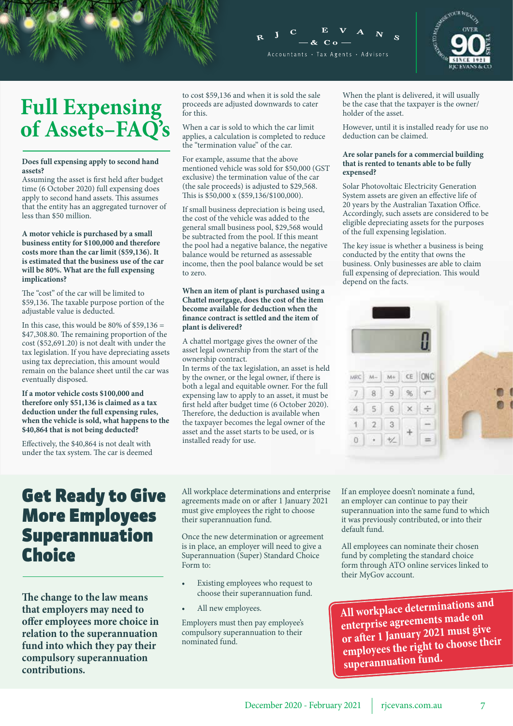



# **Full Expensing of Assets–FAQ's**

#### **Does full expensing apply to second hand assets?**

Assuming the asset is first held after budget time (6 October 2020) full expensing does apply to second hand assets. This assumes that the entity has an aggregated turnover of less than \$50 million.

#### **A motor vehicle is purchased by a small business entity for \$100,000 and therefore costs more than the car limit (\$59,136). It is estimated that the business use of the car will be 80%. What are the full expensing implications?**

The "cost" of the car will be limited to \$59,136. The taxable purpose portion of the adjustable value is deducted.

In this case, this would be 80% of  $$59,136 =$ \$47,308.80. The remaining proportion of the cost (\$52,691.20) is not dealt with under the tax legislation. If you have depreciating assets using tax depreciation, this amount would remain on the balance sheet until the car was eventually disposed.

**If a motor vehicle costs \$100,000 and therefore only \$51,136 is claimed as a tax deduction under the full expensing rules, when the vehicle is sold, what happens to the \$40,864 that is not being deducted?**

Effectively, the \$40,864 is not dealt with under the tax system. The car is deemed to cost \$59,136 and when it is sold the sale proceeds are adjusted downwards to cater for this.

When a car is sold to which the car limit applies, a calculation is completed to reduce the "termination value" of the car.

For example, assume that the above mentioned vehicle was sold for \$50,000 (GST exclusive) the termination value of the car (the sale proceeds) is adjusted to \$29,568. This is \$50,000 x (\$59,136/\$100,000).

If small business depreciation is being used, the cost of the vehicle was added to the general small business pool, \$29,568 would be subtracted from the pool. If this meant the pool had a negative balance, the negative balance would be returned as assessable income, then the pool balance would be set to zero.

#### **When an item of plant is purchased using a Chattel mortgage, does the cost of the item become available for deduction when the finance contract is settled and the item of plant is delivered?**

A chattel mortgage gives the owner of the asset legal ownership from the start of the ownership contract.

In terms of the tax legislation, an asset is held by the owner, or the legal owner, if there is both a legal and equitable owner. For the full expensing law to apply to an asset, it must be first held after budget time (6 October 2020). Therefore, the deduction is available when the taxpayer becomes the legal owner of the asset and the asset starts to be used, or is installed ready for use.

When the plant is delivered, it will usually be the case that the taxpayer is the owner/ holder of the asset.

However, until it is installed ready for use no deduction can be claimed.

#### **Are solar panels for a commercial building that is rented to tenants able to be fully expensed?**

Solar Photovoltaic Electricity Generation System assets are given an effective life of 20 years by the Australian Taxation Office. Accordingly, such assets are considered to be eligible depreciating assets for the purposes of the full expensing legislation.

The key issue is whether a business is being conducted by the entity that owns the business. Only businesses are able to claim full expensing of depreciation. This would depend on the facts.



### Get Ready to Give More Employees Superannuation **Choice**

**The change to the law means that employers may need to offer employees more choice in relation to the superannuation fund into which they pay their compulsory superannuation contributions.** 

All workplace determinations and enterprise agreements made on or after 1 January 2021 must give employees the right to choose their superannuation fund.

Once the new determination or agreement is in place, an employer will need to give a Superannuation (Super) Standard Choice Form to:

- Existing employees who request to choose their superannuation fund.
- All new employees.

Employers must then pay employee's compulsory superannuation to their nominated fund.

If an employee doesn't nominate a fund, an employer can continue to pay their superannuation into the same fund to which it was previously contributed, or into their default fund.

All employees can nominate their chosen fund by completing the standard choice form through ATO online services linked to their MyGov account.

**All workplace determinations and enterprise agreements made on or after 1 January 2021 must give employees the right to choose their superannuation fund.**